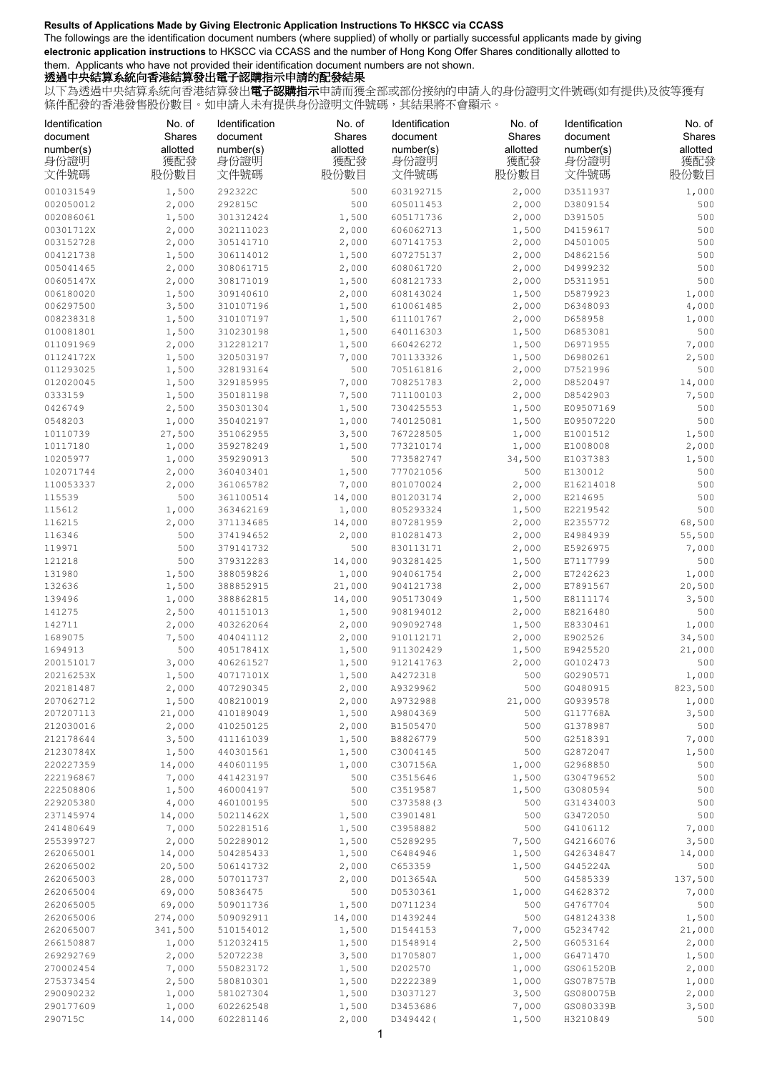## **Results of Applications Made by Giving Electronic Application Instructions To HKSCC via CCASS**

The followings are the identification document numbers (where supplied) of wholly or partially successful applicants made by giving **electronic application instructions** to HKSCC via CCASS and the number of Hong Kong Offer Shares conditionally allotted to them. Applicants who have not provided their identification document numbers are not shown.

## 透過中央結算系統向香港結算發出電子認購指示申請的配發結果

以下為透過中央結算系統向香港結算發出**電子認購指示**申請而獲全部或部份接納的申請人的身份證明文件號碼(如有提供)及彼等獲有 條件配發的香港發售股份數目。如申請人未有提供身份證明文件號碼,其結果將不會顯示。

| Identification<br>document | No. of<br>Shares | Identification<br>document | No. of<br>Shares | Identification<br>document | No. of<br>Shares | Identification<br>document | No. of<br>Shares |
|----------------------------|------------------|----------------------------|------------------|----------------------------|------------------|----------------------------|------------------|
| number(s)<br>身份證明          | allotted<br>獲配發  | number(s)<br>身份證明          | allotted<br>獲配發  | number(s)<br>身份證明          | allotted<br>獲配發  | number(s)<br>身份證明          | allotted<br>獲配發  |
| 文件號碼                       | 股份數目             | 文件號碼                       | 股份數目             | 文件號碼                       | 股份數目             | 文件號碼                       | 股份數目             |
| 001031549                  | 1,500            | 292322C                    | 500              | 603192715                  | 2,000            | D3511937                   | 1,000            |
| 002050012                  | 2,000            | 292815C                    | 500              | 605011453                  | 2,000            | D3809154                   | 500              |
| 002086061                  | 1,500            | 301312424                  | 1,500            | 605171736                  | 2,000            | D391505                    | 500              |
| 00301712X                  | 2,000            | 302111023                  | 2,000            | 606062713                  | 1,500            | D4159617                   | 500              |
| 003152728                  | 2,000            | 305141710                  | 2,000            | 607141753                  | 2,000            | D4501005                   | 500              |
| 004121738                  | 1,500            | 306114012                  | 1,500            | 607275137                  | 2,000            | D4862156                   | 500              |
| 005041465                  | 2,000            | 308061715                  | 2,000            | 608061720                  | 2,000            | D4999232                   | 500              |
| 00605147X                  | 2,000            | 308171019                  | 1,500            | 608121733                  | 2,000            | D5311951                   | 500              |
| 006180020                  | 1,500            | 309140610                  | 2,000            | 608143024                  | 1,500            | D5879923                   | 1,000            |
| 006297500                  | 3,500            | 310107196                  | 1,500            | 610061485                  | 2,000            | D6348093                   | 4,000            |
| 008238318                  | 1,500            | 310107197                  | 1,500            | 611101767                  | 2,000            | D658958                    | 1,000            |
| 010081801                  | 1,500            | 310230198                  | 1,500            | 640116303                  | 1,500            | D6853081                   | 500              |
| 011091969<br>01124172X     | 2,000<br>1,500   | 312281217<br>320503197     | 1,500<br>7,000   | 660426272<br>701133326     | 1,500            | D6971955<br>D6980261       | 7,000<br>2,500   |
| 011293025                  | 1,500            | 328193164                  | 500              | 705161816                  | 1,500<br>2,000   | D7521996                   | 500              |
| 012020045                  | 1,500            | 329185995                  | 7,000            | 708251783                  | 2,000            | D8520497                   | 14,000           |
| 0333159                    | 1,500            | 350181198                  | 7,500            | 711100103                  | 2,000            | D8542903                   | 7,500            |
| 0426749                    | 2,500            | 350301304                  | 1,500            | 730425553                  | 1,500            | E09507169                  | 500              |
| 0548203                    | 1,000            | 350402197                  | 1,000            | 740125081                  | 1,500            | E09507220                  | 500              |
| 10110739                   | 27,500           | 351062955                  | 3,500            | 767228505                  | 1,000            | E1001512                   | 1,500            |
| 10117180                   | 1,000            | 359278249                  | 1,500            | 773210174                  | 1,000            | E1008008                   | 2,000            |
| 10205977                   | 1,000            | 359290913                  | 500              | 773582747                  | 34,500           | E1037383                   | 1,500            |
| 102071744                  | 2,000            | 360403401                  | 1,500            | 777021056                  | 500              | E130012                    | 500              |
| 110053337                  | 2,000            | 361065782                  | 7,000            | 801070024                  | 2,000            | E16214018                  | 500              |
| 115539                     | 500              | 361100514                  | 14,000           | 801203174                  | 2,000            | E214695                    | 500              |
| 115612                     | 1,000            | 363462169                  | 1,000            | 805293324                  | 1,500            | E2219542                   | 500              |
| 116215                     | 2,000            | 371134685                  | 14,000           | 807281959                  | 2,000            | E2355772                   | 68,500           |
| 116346                     | 500              | 374194652                  | 2,000            | 810281473                  | 2,000            | E4984939                   | 55,500           |
| 119971                     | 500              | 379141732                  | 500              | 830113171                  | 2,000            | E5926975                   | 7,000            |
| 121218                     | 500              | 379312283                  | 14,000           | 903281425                  | 1,500            | E7117799                   | 500              |
| 131980                     | 1,500            | 388059826                  | 1,000            | 904061754                  | 2,000            | E7242623                   | 1,000            |
| 132636<br>139496           | 1,500<br>1,000   | 388852915<br>388862815     | 21,000<br>14,000 | 904121738<br>905173049     | 2,000<br>1,500   | E7891567<br>E8111174       | 20,500           |
| 141275                     | 2,500            | 401151013                  | 1,500            | 908194012                  | 2,000            | E8216480                   | 3,500<br>500     |
| 142711                     | 2,000            | 403262064                  | 2,000            | 909092748                  | 1,500            | E8330461                   | 1,000            |
| 1689075                    | 7,500            | 404041112                  | 2,000            | 910112171                  | 2,000            | E902526                    | 34,500           |
| 1694913                    | 500              | 40517841X                  | 1,500            | 911302429                  | 1,500            | E9425520                   | 21,000           |
| 200151017                  | 3,000            | 406261527                  | 1,500            | 912141763                  | 2,000            | G0102473                   | 500              |
| 20216253X                  | 1,500            | 40717101X                  | 1,500            | A4272318                   | 500              | G0290571                   | 1,000            |
| 202181487                  | 2,000            | 407290345                  | 2,000            | A9329962                   | 500              | G0480915                   | 823,500          |
| 207062712                  | 1,500            | 408210019                  | 2,000            | A9732988                   | 21,000           | G0939578                   | 1,000            |
| 207207113                  | 21,000           | 410189049                  | 1,500            | A9804369                   | 500              | G117768A                   | 3,500            |
| 212030016                  | 2,000            | 410250125                  | 2,000            | B1505470                   | 500              | G1378987                   | 500              |
| 212178644                  | 3,500            | 411161039                  | 1,500            | B8826779                   | 500              | G2518391                   | 7,000            |
| 21230784X                  | 1,500            | 440301561                  | 1,500            | C3004145                   | 500              | G2872047                   | 1,500            |
| 220227359                  | 14,000           | 440601195                  | 1,000            | C307156A                   | 1,000            | G2968850                   | 500              |
| 222196867                  | 7,000            | 441423197                  | 500              | C3515646                   | 1,500            | G30479652                  | 500              |
| 222508806                  | 1,500            | 460004197                  | 500              | C3519587                   | 1,500            | G3080594                   | 500              |
| 229205380                  | 4,000            | 460100195                  | 500              | C373588(3)                 | 500              | G31434003                  | 500              |
| 237145974<br>241480649     | 14,000<br>7,000  | 50211462X<br>502281516     | 1,500<br>1,500   | C3901481<br>C3958882       | 500<br>500       | G3472050<br>G4106112       | 500<br>7,000     |
| 255399727                  | 2,000            | 502289012                  | 1,500            | C5289295                   | 7,500            | G42166076                  | 3,500            |
| 262065001                  | 14,000           | 504285433                  | 1,500            | C6484946                   | 1,500            | G42634847                  | 14,000           |
| 262065002                  | 20,500           | 506141732                  | 2,000            | C653359                    | 1,500            | G445224A                   | 500              |
| 262065003                  | 28,000           | 507011737                  | 2,000            | D013654A                   | 500              | G4585339                   | 137,500          |
| 262065004                  | 69,000           | 50836475                   | 500              | D0530361                   | 1,000            | G4628372                   | 7,000            |
| 262065005                  | 69,000           | 509011736                  | 1,500            | D0711234                   | 500              | G4767704                   | 500              |
| 262065006                  | 274,000          | 509092911                  | 14,000           | D1439244                   | 500              | G48124338                  | 1,500            |
| 262065007                  | 341,500          | 510154012                  | 1,500            | D1544153                   | 7,000            | G5234742                   | 21,000           |
| 266150887                  | 1,000            | 512032415                  | 1,500            | D1548914                   | 2,500            | G6053164                   | 2,000            |
| 269292769                  | 2,000            | 52072238                   | 3,500            | D1705807                   | 1,000            | G6471470                   | 1,500            |
| 270002454                  | 7,000            | 550823172                  | 1,500            | D202570                    | 1,000            | GS061520B                  | 2,000            |
| 275373454                  | 2,500            | 580810301                  | 1,500            | D2222389                   | 1,000            | GS078757B                  | 1,000            |
| 290090232                  | 1,000            | 581027304                  | 1,500            | D3037127                   | 3,500            | GS080075B                  | 2,000            |
| 290177609                  | 1,000            | 602262548                  | 1,500            | D3453686                   | 7,000            | GS080339B                  | 3,500            |
| 290715C                    | 14,000           | 602281146                  | 2,000            | D349442(                   | 1,500            | H3210849                   | 500              |